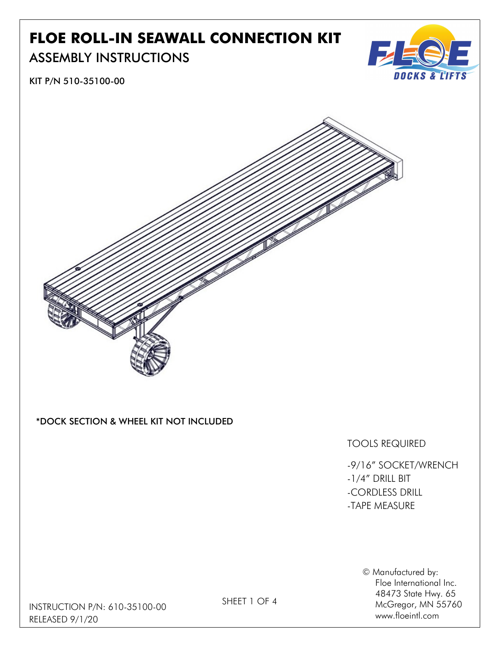# FLOE ROLL-IN SEAWALL CONNECTION KIT

### ASSEMBLY INSTRUCTIONS



KIT P/N 510-35100-00



#### \*DOCK SECTION & WHEEL KIT NOT INCLUDED

#### TOOLS REQUIRED

-9/16" SOCKET/WRENCH -1/4" DRILL BIT -CORDLESS DRILL -TAPE MEASURE

> © Manufactured by: Floe International Inc. 48473 State Hwy. 65 McGregor, MN 55760 www.floeintl.com

INSTRUCTION P/N: 610-35100-00 RELEASED 9/1/20

SHEET 1 OF 4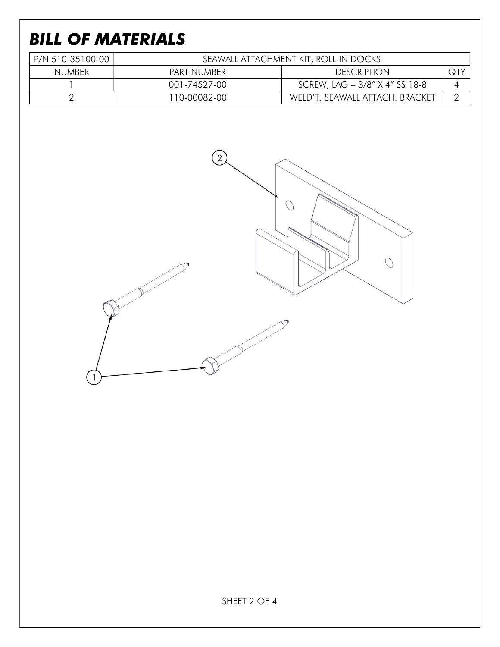# BILL OF MATERIALS

| P/N 510-35100-00 | SEAWALL ATTACHMENT KIT, ROLL-IN DOCKS |                                 |     |
|------------------|---------------------------------------|---------------------------------|-----|
| <b>NUMBER</b>    | PART NUMBER                           | <b>DESCRIPTION</b>              | QTY |
|                  | 001-74527-00                          | SCREW, LAG - 3/8" X 4" SS 18-8  |     |
|                  | 110-00082-00                          | WELD'T, SEAWALL ATTACH. BRACKET |     |

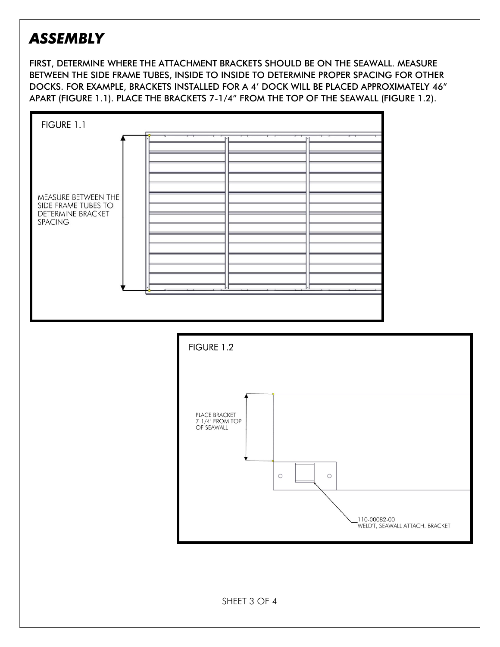### ASSEMBLY

FIRST, DETERMINE WHERE THE ATTACHMENT BRACKETS SHOULD BE ON THE SEAWALL. MEASURE BETWEEN THE SIDE FRAME TUBES, INSIDE TO INSIDE TO DETERMINE PROPER SPACING FOR OTHER DOCKS. FOR EXAMPLE, BRACKETS INSTALLED FOR A 4' DOCK WILL BE PLACED APPROXIMATELY 46" APART (FIGURE 1.1). PLACE THE BRACKETS 7-1/4" FROM THE TOP OF THE SEAWALL (FIGURE 1.2).